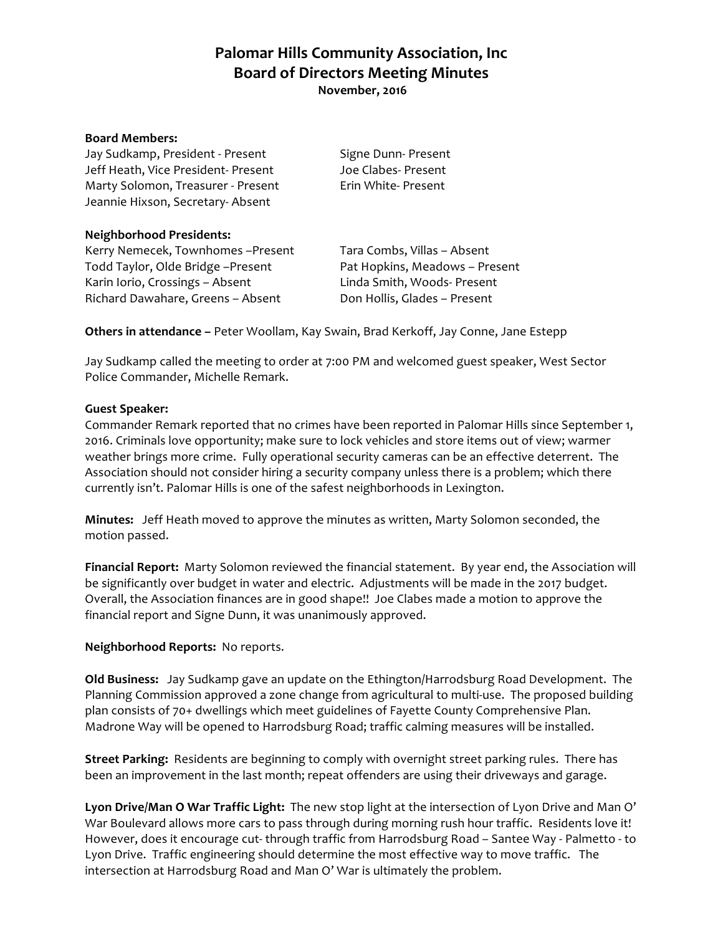**Palomar Hills Community Association, Inc Board of Directors Meeting Minutes November, 2016**

#### **Board Members:**

Jay Sudkamp, President - Present Signe Dunn- Present Jeff Heath, Vice President- Present Joe Clabes- Present Marty Solomon, Treasurer - Present Erin White- Present Jeannie Hixson, Secretary- Absent

### **Neighborhood Presidents:**

Kerry Nemecek, Townhomes -Present Tara Combs, Villas - Absent Todd Taylor, Olde Bridge -Present Pat Hopkins, Meadows - Present Karin Iorio, Crossings – Absent Linda Smith, Woods- Present Richard Dawahare, Greens - Absent Don Hollis, Glades - Present

**Others in attendance –** Peter Woollam, Kay Swain, Brad Kerkoff, Jay Conne, Jane Estepp

Jay Sudkamp called the meeting to order at 7:00 PM and welcomed guest speaker, West Sector Police Commander, Michelle Remark.

### **Guest Speaker:**

Commander Remark reported that no crimes have been reported in Palomar Hills since September 1, 2016. Criminals love opportunity; make sure to lock vehicles and store items out of view; warmer weather brings more crime. Fully operational security cameras can be an effective deterrent. The Association should not consider hiring a security company unless there is a problem; which there currently isn't. Palomar Hills is one of the safest neighborhoods in Lexington.

**Minutes:** Jeff Heath moved to approve the minutes as written, Marty Solomon seconded, the motion passed.

**Financial Report:** Marty Solomon reviewed the financial statement. By year end, the Association will be significantly over budget in water and electric. Adjustments will be made in the 2017 budget. Overall, the Association finances are in good shape!! Joe Clabes made a motion to approve the financial report and Signe Dunn, it was unanimously approved.

#### **Neighborhood Reports:** No reports.

**Old Business:** Jay Sudkamp gave an update on the Ethington/Harrodsburg Road Development. The Planning Commission approved a zone change from agricultural to multi-use. The proposed building plan consists of 70+ dwellings which meet guidelines of Fayette County Comprehensive Plan. Madrone Way will be opened to Harrodsburg Road; traffic calming measures will be installed.

**Street Parking:** Residents are beginning to comply with overnight street parking rules. There has been an improvement in the last month; repeat offenders are using their driveways and garage.

**Lyon Drive/Man O War Traffic Light:** The new stop light at the intersection of Lyon Drive and Man O' War Boulevard allows more cars to pass through during morning rush hour traffic. Residents love it! However, does it encourage cut- through traffic from Harrodsburg Road – Santee Way - Palmetto - to Lyon Drive. Traffic engineering should determine the most effective way to move traffic. The intersection at Harrodsburg Road and Man O' War is ultimately the problem.